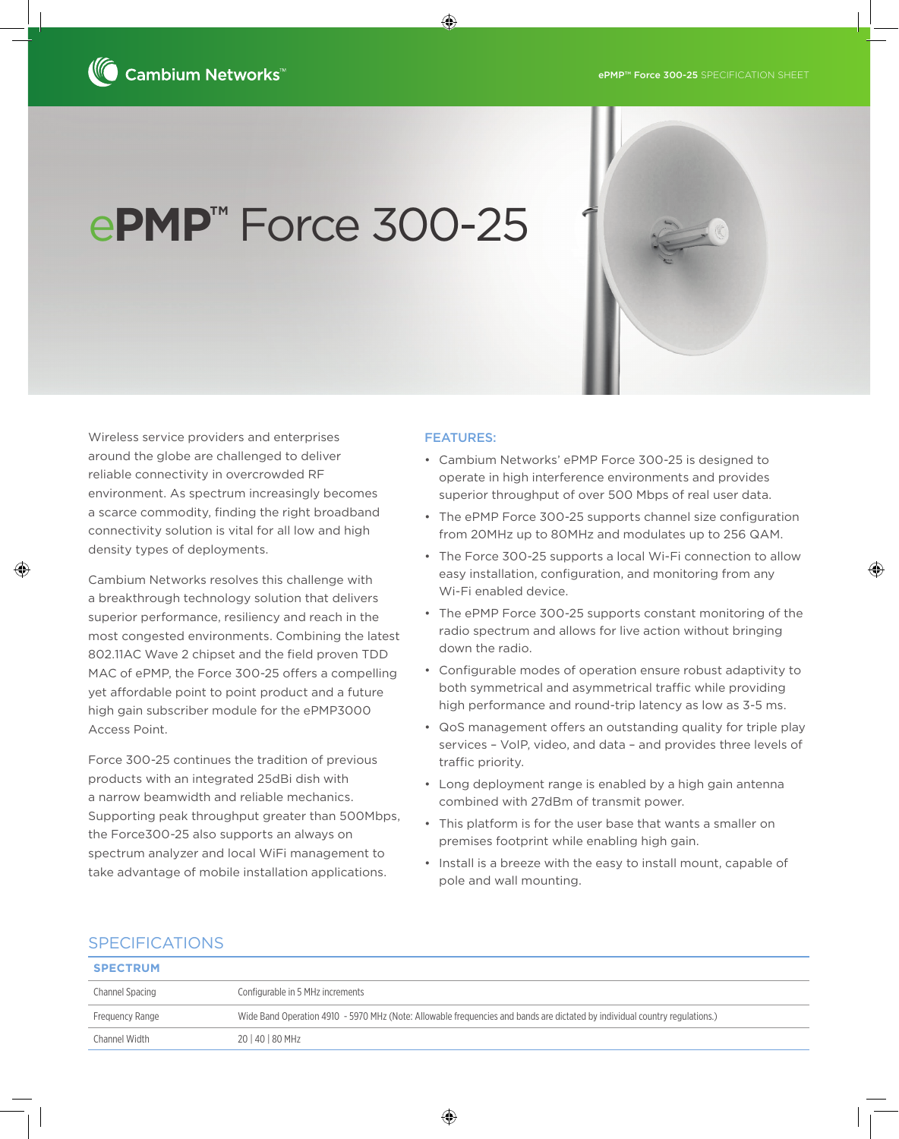# e**PMP™** Force 300-25

Wireless service providers and enterprises around the globe are challenged to deliver reliable connectivity in overcrowded RF environment. As spectrum increasingly becomes a scarce commodity, finding the right broadband connectivity solution is vital for all low and high density types of deployments.

Cambium Networks resolves this challenge with a breakthrough technology solution that delivers superior performance, resiliency and reach in the most congested environments. Combining the latest 802.11AC Wave 2 chipset and the field proven TDD MAC of ePMP, the Force 300-25 offers a compelling yet affordable point to point product and a future high gain subscriber module for the ePMP3000 Access Point.

Force 300-25 continues the tradition of previous products with an integrated 25dBi dish with a narrow beamwidth and reliable mechanics. Supporting peak throughput greater than 500Mbps, the Force300-25 also supports an always on spectrum analyzer and local WiFi management to take advantage of mobile installation applications.

#### FEATURES:

♠

- Cambium Networks' ePMP Force 300-25 is designed to operate in high interference environments and provides superior throughput of over 500 Mbps of real user data.
- The ePMP Force 300-25 supports channel size configuration from 20MHz up to 80MHz and modulates up to 256 QAM.
- The Force 300-25 supports a local Wi-Fi connection to allow easy installation, configuration, and monitoring from any Wi-Fi enabled device.

⊕

- The ePMP Force 300-25 supports constant monitoring of the radio spectrum and allows for live action without bringing down the radio.
- Configurable modes of operation ensure robust adaptivity to both symmetrical and asymmetrical traffic while providing high performance and round-trip latency as low as 3-5 ms.
- QoS management offers an outstanding quality for triple play services – VoIP, video, and data – and provides three levels of traffic priority.
- Long deployment range is enabled by a high gain antenna combined with 27dBm of transmit power.
- This platform is for the user base that wants a smaller on premises footprint while enabling high gain.
- Install is a breeze with the easy to install mount, capable of pole and wall mounting.

### SPECIFICATIONS

⊕

| <b>SPECTRUM</b> |                                                                                                                             |
|-----------------|-----------------------------------------------------------------------------------------------------------------------------|
| Channel Spacing | Configurable in 5 MHz increments                                                                                            |
| Frequency Range | Wide Band Operation 4910 - 5970 MHz (Note: Allowable frequencies and bands are dictated by individual country regulations.) |
| Channel Width   | 20   40   80 MHz                                                                                                            |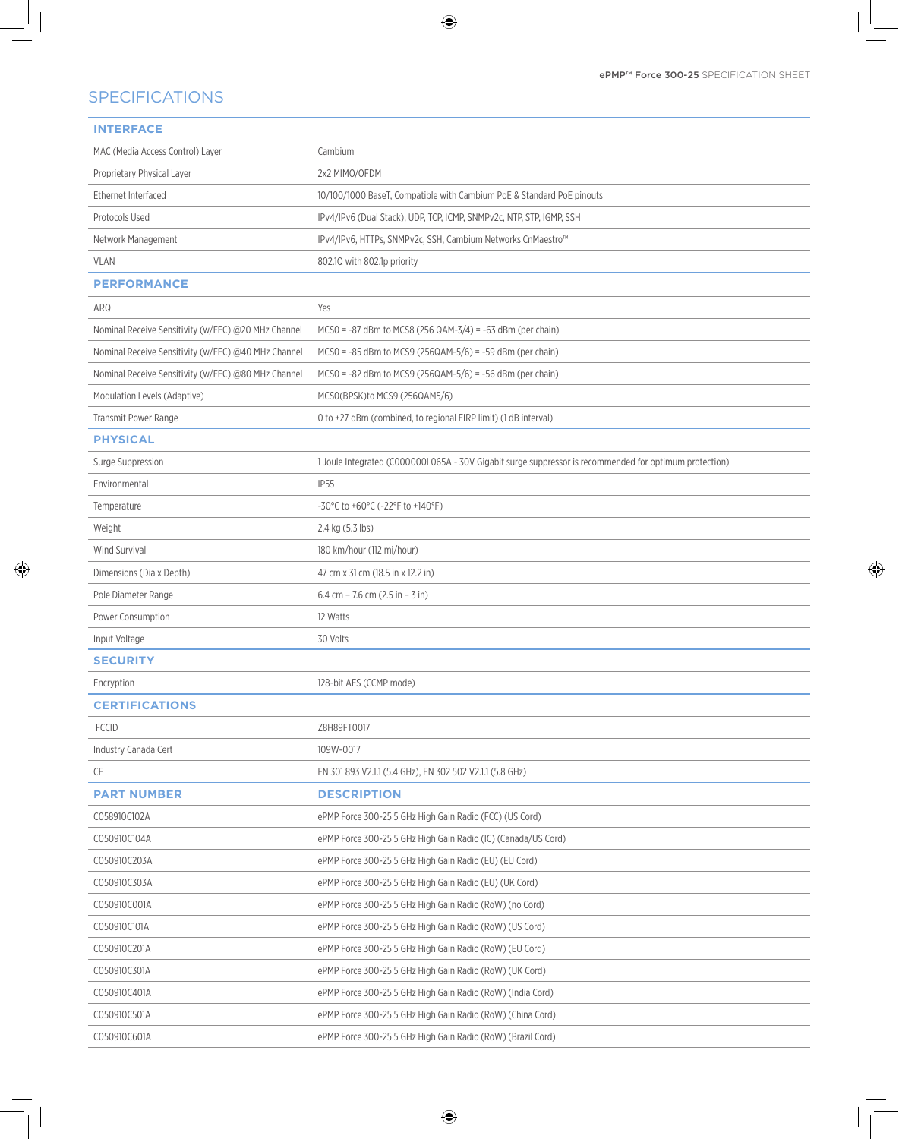$\bigoplus$ 

## SPECIFICATIONS

 $\mathbb{R}^2$ 

 $\bigoplus$ 

| <b>INTERFACE</b>                                    |                                                                                                        |
|-----------------------------------------------------|--------------------------------------------------------------------------------------------------------|
| MAC (Media Access Control) Layer                    | Cambium                                                                                                |
| Proprietary Physical Layer                          | 2x2 MIMO/OFDM                                                                                          |
| Ethernet Interfaced                                 | 10/100/1000 BaseT, Compatible with Cambium PoE & Standard PoE pinouts                                  |
| Protocols Used                                      | IPv4/IPv6 (Dual Stack), UDP, TCP, ICMP, SNMPv2c, NTP, STP, IGMP, SSH                                   |
| Network Management                                  | IPv4/IPv6, HTTPs, SNMPv2c, SSH, Cambium Networks CnMaestro™                                            |
| <b>VLAN</b>                                         | 802.10 with 802.1p priority                                                                            |
| <b>PERFORMANCE</b>                                  |                                                                                                        |
| ARQ                                                 | Yes                                                                                                    |
| Nominal Receive Sensitivity (w/FEC) @20 MHz Channel | $MCSO = -87$ dBm to MCS8 (256 QAM-3/4) = -63 dBm (per chain)                                           |
| Nominal Receive Sensitivity (w/FEC) @40 MHz Channel | $MCSO = -85$ dBm to MCS9 (256QAM-5/6) = -59 dBm (per chain)                                            |
| Nominal Receive Sensitivity (w/FEC) @80 MHz Channel | $MCSO = -82$ dBm to MCS9 (256QAM-5/6) = -56 dBm (per chain)                                            |
| Modulation Levels (Adaptive)                        | MCSO(BPSK)to MCS9 (256QAM5/6)                                                                          |
| Transmit Power Range                                | 0 to +27 dBm (combined, to regional EIRP limit) (1 dB interval)                                        |
| <b>PHYSICAL</b>                                     |                                                                                                        |
| <b>Surge Suppression</b>                            | 1 Joule Integrated (C000000L065A - 30V Gigabit surge suppressor is recommended for optimum protection) |
| Environmental                                       | <b>IP55</b>                                                                                            |
| Temperature                                         | -30°C to +60°C (-22°F to +140°F)                                                                       |
| Weight                                              | 2.4 kg (5.3 lbs)                                                                                       |
| Wind Survival                                       | 180 km/hour (112 mi/hour)                                                                              |
| Dimensions (Dia x Depth)                            | 47 cm x 31 cm (18.5 in x 12.2 in)                                                                      |
| Pole Diameter Range                                 | 6.4 cm - 7.6 cm $(2.5 in - 3 in)$                                                                      |
| Power Consumption                                   | 12 Watts                                                                                               |
| Input Voltage                                       | 30 Volts                                                                                               |
| <b>SECURITY</b>                                     |                                                                                                        |
| Encryption                                          | 128-bit AES (CCMP mode)                                                                                |
| <b>CERTIFICATIONS</b>                               |                                                                                                        |
| <b>FCCID</b>                                        | Z8H89FT0017                                                                                            |
| Industry Canada Cert                                | 109W-0017                                                                                              |
| CE                                                  | EN 301 893 V2.1.1 (5.4 GHz), EN 302 502 V2.1.1 (5.8 GHz)                                               |
| <b>PART NUMBER</b>                                  | <b>DESCRIPTION</b>                                                                                     |
| C058910C102A                                        | ePMP Force 300-25 5 GHz High Gain Radio (FCC) (US Cord)                                                |
| C050910C104A                                        | ePMP Force 300-25 5 GHz High Gain Radio (IC) (Canada/US Cord)                                          |
| C050910C203A                                        | ePMP Force 300-25 5 GHz High Gain Radio (EU) (EU Cord)                                                 |
| C050910C303A                                        | ePMP Force 300-25 5 GHz High Gain Radio (EU) (UK Cord)                                                 |
| C050910C001A                                        | ePMP Force 300-25 5 GHz High Gain Radio (RoW) (no Cord)                                                |
| C050910C101A                                        | ePMP Force 300-25 5 GHz High Gain Radio (RoW) (US Cord)                                                |
| C050910C201A                                        | ePMP Force 300-25 5 GHz High Gain Radio (RoW) (EU Cord)                                                |
| C050910C301A                                        | ePMP Force 300-25 5 GHz High Gain Radio (RoW) (UK Cord)                                                |
| C050910C401A                                        | ePMP Force 300-25 5 GHz High Gain Radio (RoW) (India Cord)                                             |
| C050910C501A                                        | ePMP Force 300-25 5 GHz High Gain Radio (RoW) (China Cord)                                             |
| C050910C601A                                        | ePMP Force 300-25 5 GHz High Gain Radio (RoW) (Brazil Cord)                                            |

 $\bigoplus$ 

 $\bigoplus$